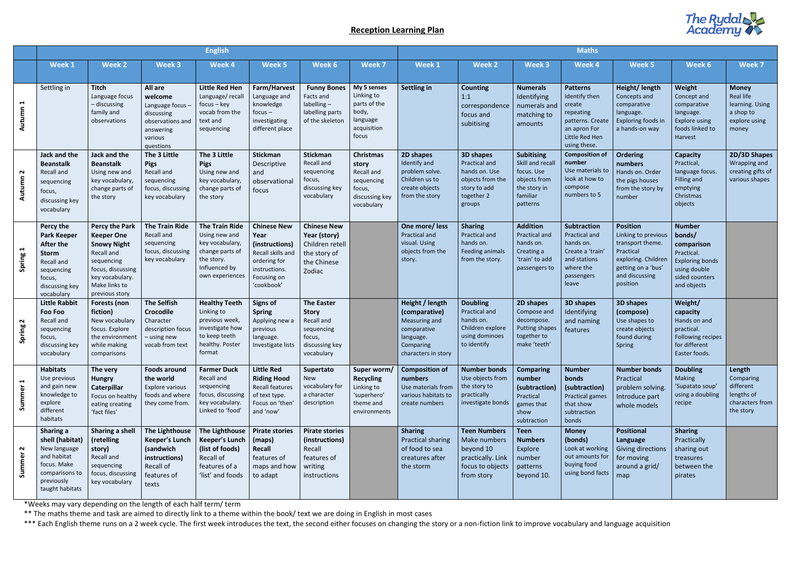## **Reception Learning Plan**

\*Weeks may vary depending on the length of each half term/ term

\*\* The maths theme and task are aimed to directly link to a theme within the book/ text we are doing in English in most cases

\*\*\* Each English theme runs on a 2 week cycle. The first week introduces the text, the second either focuses on changing the story or a non-fiction link to improve vocabulary and language acquisition



|                                 | <b>English</b>                                                                                                                     |                                                                                                                                                                         |                                                                                                               |                                                                                                                                |                                                                                                                                 |                                                                                                         | <b>Maths</b>                                                                                    |                                                                                                                   |                                                                                                                |                                                                                                             |                                                                                                                               |                                                                                                                                                    |                                                                                                                                |                                                                                     |
|---------------------------------|------------------------------------------------------------------------------------------------------------------------------------|-------------------------------------------------------------------------------------------------------------------------------------------------------------------------|---------------------------------------------------------------------------------------------------------------|--------------------------------------------------------------------------------------------------------------------------------|---------------------------------------------------------------------------------------------------------------------------------|---------------------------------------------------------------------------------------------------------|-------------------------------------------------------------------------------------------------|-------------------------------------------------------------------------------------------------------------------|----------------------------------------------------------------------------------------------------------------|-------------------------------------------------------------------------------------------------------------|-------------------------------------------------------------------------------------------------------------------------------|----------------------------------------------------------------------------------------------------------------------------------------------------|--------------------------------------------------------------------------------------------------------------------------------|-------------------------------------------------------------------------------------|
|                                 | Week 1                                                                                                                             | <b>Week 2</b>                                                                                                                                                           | Week 3                                                                                                        | Week 4                                                                                                                         | Week 5                                                                                                                          | Week 6                                                                                                  | <b>Week 7</b>                                                                                   | Week 1                                                                                                            | <b>Week 2</b>                                                                                                  | Week 3                                                                                                      | Week 4                                                                                                                        | Week 5                                                                                                                                             | Week 6                                                                                                                         | Week 7                                                                              |
| $\blacktriangleright$<br>Autumn | Settling in                                                                                                                        | <b>Titch</b><br>Language focus<br>- discussing<br>family and<br>observations                                                                                            | All are<br>welcome<br>Language focus -<br>discussing<br>observations and<br>answering<br>various<br>questions | <b>Little Red Hen</b><br>Language/recall<br>$focus - key$<br>vocab from the<br>text and<br>sequencing                          | Farm/Harvest<br>Language and<br>knowledge<br>$focus -$<br>investigating<br>different place                                      | <b>Funny Bones</b><br>Facts and<br>$labelling -$<br>labelling parts<br>of the skeleton                  | My 5 senses<br>Linking to<br>parts of the<br>body,<br>language<br>acquisition<br>focus          | <b>Settling in</b>                                                                                                | <b>Counting</b><br>1:1<br>correspondence<br>focus and<br>subitising                                            | <b>Numerals</b><br>Identifying<br>numerals and<br>matching to<br>amounts                                    | <b>Patterns</b><br>Identify then<br>create<br>repeating<br>patterns. Create<br>an apron For<br>Little Red Hen<br>using these. | Height/ length<br>Concepts and<br>comparative<br>language.<br>Exploring foods in<br>a hands-on way                                                 | Weight<br>Concept and<br>comparative<br>language.<br>Explore using<br>foods linked to<br>Harvest                               | <b>Money</b><br>Real life<br>learning. Using<br>a shop to<br>explore using<br>money |
| $\mathbf{\Omega}$<br>Autumn     | Jack and the<br><b>Beanstalk</b><br>Recall and<br>sequencing<br>focus,<br>discussing key<br>vocabulary                             | Jack and the<br><b>Beanstalk</b><br>Using new and<br>key vocabulary,<br>change parts of<br>the story                                                                    | The 3 Little<br><b>Pigs</b><br>Recall and<br>sequencing<br>focus, discussing<br>key vocabulary                | The 3 Little<br><b>Pigs</b><br>Using new and<br>key vocabulary,<br>change parts of<br>the story                                | <b>Stickman</b><br>Descriptive<br>and<br>observationa<br>focus                                                                  | <b>Stickman</b><br>Recall and<br>sequencing<br>focus,<br>discussing key<br>vocabulary                   | <b>Christmas</b><br>story<br>Recall and<br>sequencing<br>focus,<br>discussing key<br>vocabulary | 2D shapes<br>Identify and<br>problem solve.<br>Children us to<br>create objects<br>from the story                 | <b>3D shapes</b><br>Practical and<br>hands on. Use<br>objects from the<br>story to add<br>together 2<br>groups | <b>Subitising</b><br>Skill and recall<br>focus. Use<br>objects from<br>the story in<br>familiar<br>patterns | <b>Composition of</b><br>number<br>Use materials to<br>look at how to<br>compose<br>numbers to 5                              | <b>Ordering</b><br>numbers<br>Hands on. Order<br>the pigs houses<br>from the story by<br>number                                                    | <b>Capacity</b><br>Practical,<br>language focus.<br><b>Filling and</b><br>emptying<br>Christmas<br>objects                     | 2D/3D Shapes<br>Wrapping and<br>creating gifts of<br>various shapes                 |
| $\blacktriangleright$<br>Spring | Percy the<br><b>Park Keeper</b><br>After the<br><b>Storm</b><br>Recall and<br>sequencing<br>focus,<br>discussing key<br>vocabulary | <b>Percy the Park</b><br><b>Keeper One</b><br><b>Snowy Night</b><br>Recall and<br>sequencing<br>focus, discussing<br>key vocabulary.<br>Make links to<br>previous story | <b>The Train Ride</b><br>Recall and<br>sequencing<br>focus, discussing<br>key vocabulary                      | <b>The Train Ride</b><br>Using new and<br>key vocabulary,<br>change parts of<br>the story.<br>Influenced by<br>own experiences | <b>Chinese New</b><br>Year<br>(instructions)<br>Recall skills and<br>ordering for<br>instructions.<br>Focusing on<br>'cookbook' | <b>Chinese New</b><br>Year (story)<br>Children retell<br>the story of<br>the Chinese<br>Zodiac          |                                                                                                 | One more/less<br><b>Practical and</b><br>visual. Using<br>objects from the<br>story.                              | <b>Sharing</b><br>Practical and<br>hands on.<br>Feeding animals<br>from the story.                             | <b>Addition</b><br>Practical and<br>hands on.<br>Creating a<br>'train' to add<br>passengers to              | Subtraction<br>Practical and<br>hands on.<br>Create a 'train'<br>and stations<br>where the<br>passengers<br>leave             | <b>Position</b><br>Linking to previous<br>transport theme.<br>Practical<br>exploring. Children<br>getting on a 'bus'<br>and discussing<br>position | <b>Number</b><br>bonds/<br>comparison<br>Practical.<br><b>Exploring bonds</b><br>using double<br>sided counters<br>and objects |                                                                                     |
| $\mathbf{\Omega}$<br>Spring     | <b>Little Rabbit</b><br><b>Foo Foo</b><br>Recall and<br>sequencing<br>focus,<br>discussing key<br>vocabulary                       | <b>Forests (non</b><br>fiction)<br>New vocabulary<br>focus. Explore<br>the environment<br>while making<br>comparisons                                                   | <b>The Selfish</b><br><b>Crocodile</b><br>Character<br>description focus<br>$-$ using new<br>vocab from text  | <b>Healthy Teeth</b><br>Linking to<br>previous week,<br>investigate how<br>to keep teeth<br>healthy. Poster<br>format          | <b>Signs of</b><br><b>Spring</b><br>Applying new a<br>previous<br>language.<br>Investigate lists                                | <b>The Easter</b><br><b>Story</b><br>Recall and<br>sequencing<br>focus,<br>discussing key<br>vocabulary |                                                                                                 | Height / length<br>(comparative)<br>Measuring and<br>comparative<br>language.<br>Comparing<br>characters in story | <b>Doubling</b><br>Practical and<br>hands on.<br>Children explore<br>using dominoes<br>to identify             | 2D shapes<br>Compose and<br>decompose.<br><b>Putting shapes</b><br>together to<br>make 'teeth'              | <b>3D shapes</b><br>Identifying<br>and naming<br>features                                                                     | <b>3D shapes</b><br>(compose)<br>Use shapes to<br>create objects<br>found during<br>Spring                                                         | Weight/<br>capacity<br>Hands on and<br>practical.<br>Following recipes<br>for different<br>Easter foods.                       |                                                                                     |
| $\blacksquare$<br>Summer        | <b>Habitats</b><br>Use previous<br>and gain new<br>knowledge to<br>explore<br>different<br>habitats                                | The very<br><b>Hungry</b><br>Caterpillar<br>Focus on healthy<br>eating creating<br>'fact files'                                                                         | <b>Foods around</b><br>the world<br>Explore various<br>foods and where<br>they come from.                     | <b>Farmer Duck</b><br>Recall and<br>sequencing<br>focus, discussing<br>key vocabulary.<br>Linked to 'food'                     | <b>Little Red</b><br><b>Riding Hood</b><br><b>Recall features</b><br>of text type.<br>Focus on 'then'<br>and 'now'              | Supertato<br><b>New</b><br>vocabulary for<br>a character<br>description                                 | Super worm/<br><b>Recycling</b><br>Linking to<br>'superhero'<br>theme and<br>environments       | <b>Composition of</b><br>numbers<br>Use materials from<br>various habitats to<br>create numbers                   | <b>Number bonds</b><br>Use objects from<br>the story to<br>practically<br>investigate bonds                    | <b>Comparing</b><br>number<br>(subtraction)<br>Practical<br>games that<br>show<br>subtraction               | <b>Number</b><br>bonds<br>(subtraction)<br><b>Practical games</b><br>that show<br>subtraction<br>bonds                        | <b>Number bonds</b><br>Practical<br>problem solving.<br>Introduce part<br>whole models                                                             | <b>Doubling</b><br>Making<br>'Supatato soup'<br>using a doubling<br>recipe                                                     | Length<br>Comparing<br>different<br>lengths of<br>characters from<br>the story      |
| $\sim$<br>à<br>Summe            | Sharing a<br>shell (habitat)<br>New language<br>and habitat<br>focus. Make<br>comparisons to<br>previously<br>taught habitats      | Sharing a shell<br>(retelling<br>story)<br>Recall and<br>sequencing<br>focus, discussing<br>key vocabulary                                                              | The Lighthouse<br><b>Keeper's Lunch</b><br>(sandwich<br>instructions)<br>Recall of<br>features of<br>texts    | The Lighthouse<br><b>Keeper's Lunch</b><br>(list of foods)<br>Recall of<br>features of a<br>'list' and foods                   | <b>Pirate stories</b><br>(maps)<br><b>Recall</b><br>features of<br>maps and how<br>to adapt                                     | <b>Pirate stories</b><br>(instructions)<br>Recall<br>features of<br>writing<br>instructions             |                                                                                                 | <b>Sharing</b><br><b>Practical sharing</b><br>of food to sea<br>creatures after<br>the storm                      | <b>Teen Numbers</b><br>Make numbers<br>beyond 10<br>practically. Link<br>focus to objects<br>from story        | <b>Teen</b><br><b>Numbers</b><br>Explore<br>number<br>patterns<br>beyond 10.                                | <b>Money</b><br>(bonds)<br>Look at working<br>out amounts for<br>buying food<br>using bond facts                              | <b>Positional</b><br>Language<br><b>Giving directions</b><br>for moving<br>around a grid/<br>map                                                   | Sharing<br>Practically<br>sharing out<br>treasures<br>between the<br>pirates                                                   |                                                                                     |